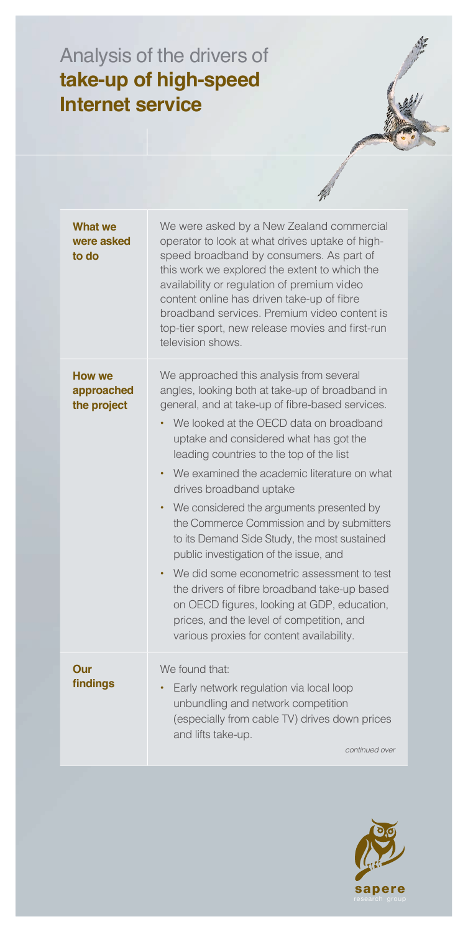## Analysis of the drivers of **take-up of high-speed Internet service**

| What we<br>were asked<br>to do             | We were asked by a New Zealand commercial<br>operator to look at what drives uptake of high-<br>speed broadband by consumers. As part of<br>this work we explored the extent to which the<br>availability or regulation of premium video<br>content online has driven take-up of fibre<br>broadband services. Premium video content is<br>top-tier sport, new release movies and first-run<br>television shows.                                                                                                                                                                                                                                                                                                                                                                                   |
|--------------------------------------------|---------------------------------------------------------------------------------------------------------------------------------------------------------------------------------------------------------------------------------------------------------------------------------------------------------------------------------------------------------------------------------------------------------------------------------------------------------------------------------------------------------------------------------------------------------------------------------------------------------------------------------------------------------------------------------------------------------------------------------------------------------------------------------------------------|
| <b>How we</b><br>approached<br>the project | We approached this analysis from several<br>angles, looking both at take-up of broadband in<br>general, and at take-up of fibre-based services.<br>We looked at the OECD data on broadband<br>uptake and considered what has got the<br>leading countries to the top of the list<br>We examined the academic literature on what<br>drives broadband uptake<br>We considered the arguments presented by<br>$\bullet$<br>the Commerce Commission and by submitters<br>to its Demand Side Study, the most sustained<br>public investigation of the issue, and<br>We did some econometric assessment to test<br>the drivers of fibre broadband take-up based<br>on OECD figures, looking at GDP, education,<br>prices, and the level of competition, and<br>various proxies for content availability. |
| Our<br>findings                            | We found that:<br>Early network regulation via local loop<br>unbundling and network competition<br>(especially from cable TV) drives down prices<br>and lifts take-up.<br>continued over                                                                                                                                                                                                                                                                                                                                                                                                                                                                                                                                                                                                          |

H